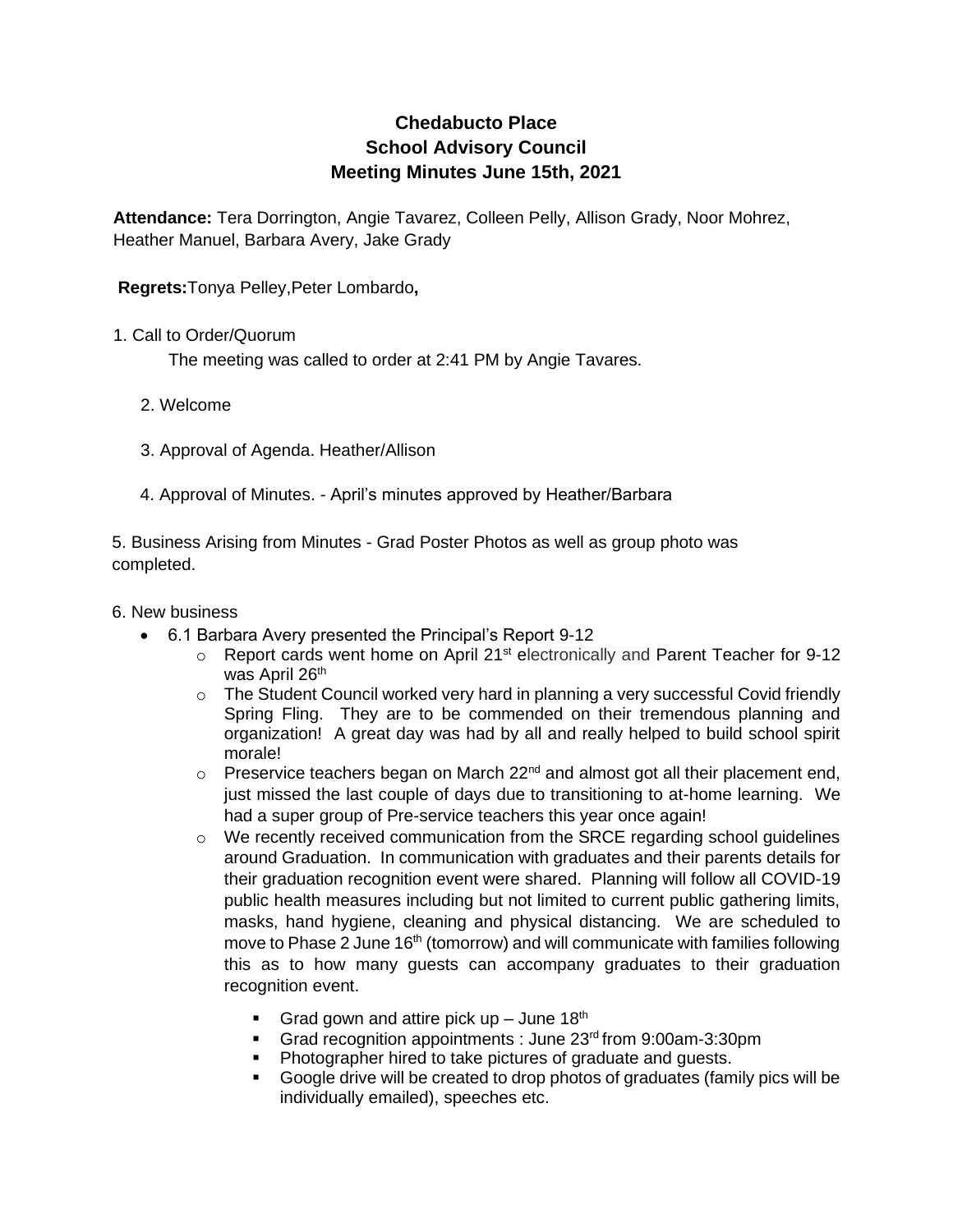## **Chedabucto Place School Advisory Council Meeting Minutes June 15th, 2021**

**Attendance:** Tera Dorrington, Angie Tavarez, Colleen Pelly, Allison Grady, Noor Mohrez, Heather Manuel, Barbara Avery, Jake Grady

**Regrets:**Tonya Pelley,Peter Lombardo**,** 

1. Call to Order/Quorum

The meeting was called to order at 2:41 PM by Angie Tavares.

- 2. Welcome
- 3. Approval of Agenda. Heather/Allison
- 4. Approval of Minutes. April's minutes approved by Heather/Barbara

5. Business Arising from Minutes - Grad Poster Photos as well as group photo was completed.

- 6. New business
	- 6.1 Barbara Avery presented the Principal's Report 9-12
		- o Report cards went home on April 21<sup>st</sup> electronically and Parent Teacher for 9-12 was April 26<sup>th</sup>
		- $\circ$  The Student Council worked very hard in planning a very successful Covid friendly Spring Fling. They are to be commended on their tremendous planning and organization! A great day was had by all and really helped to build school spirit morale!
		- $\circ$  Preservice teachers began on March 22<sup>nd</sup> and almost got all their placement end, just missed the last couple of days due to transitioning to at-home learning. We had a super group of Pre-service teachers this year once again!
		- $\circ$  We recently received communication from the SRCE regarding school quidelines around Graduation. In communication with graduates and their parents details for their graduation recognition event were shared. Planning will follow all COVID-19 public health measures including but not limited to current public gathering limits, masks, hand hygiene, cleaning and physical distancing. We are scheduled to move to Phase 2 June 16<sup>th</sup> (tomorrow) and will communicate with families following this as to how many guests can accompany graduates to their graduation recognition event.
			- **•** Grad gown and attire pick up  $-$  June 18<sup>th</sup>
			- Grad recognition appointments : June 23<sup>rd</sup> from 9:00am-3:30pm
			- Photographer hired to take pictures of graduate and guests.
			- Google drive will be created to drop photos of graduates (family pics will be individually emailed), speeches etc.